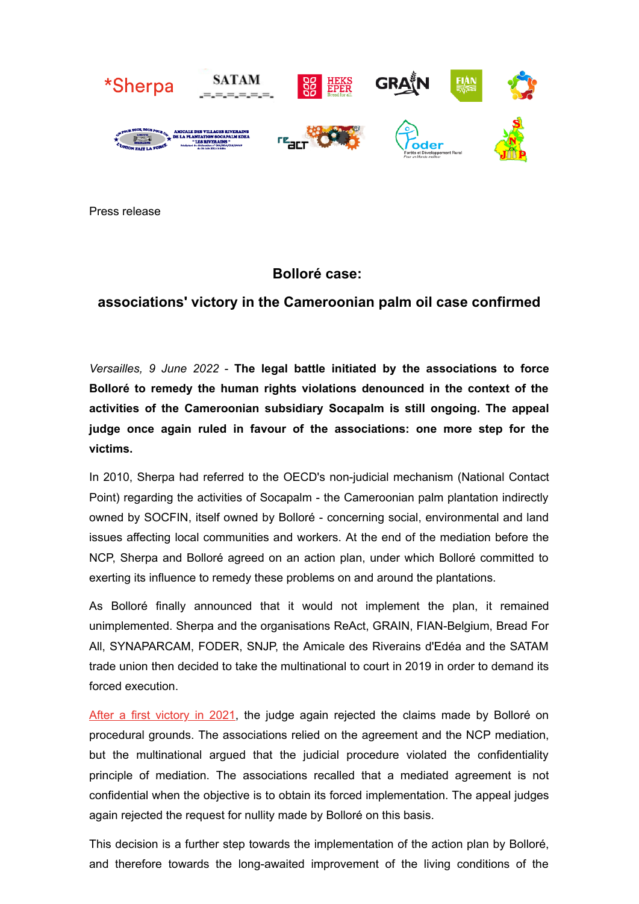

Press release

## **Bolloré case:**

## **associations' victory in the Cameroonian palm oil case confirmed**

*Versailles, 9 June 2022* - **The legal battle initiated by the associations to force Bolloré to remedy the human rights violations denounced in the context of the activities of the Cameroonian subsidiary Socapalm is still ongoing. The appeal judge once again ruled in favour of the associations: one more step for the victims.**

In 2010, Sherpa had referred to the OECD's non-judicial mechanism (National Contact Point) regarding the activities of Socapalm - the Cameroonian palm plantation indirectly owned by SOCFIN, itself owned by Bolloré - concerning social, environmental and land issues affecting local communities and workers. At the end of the mediation before the NCP, Sherpa and Bolloré agreed on an action plan, under which Bolloré committed to exerting its influence to remedy these problems on and around the plantations.

As Bolloré finally announced that it would not implement the plan, it remained unimplemented. Sherpa and the organisations ReAct, GRAIN, FIAN-Belgium, Bread For All, SYNAPARCAM, FODER, SNJP, the Amicale des Riverains d'Edéa and the SATAM trade union then decided to take the multinational to court in 2019 in order to demand its forced execution.

[After a first victory in 2021](https://www.asso-sherpa.org/bollore-socapalm-the-judge-rules-in-favor-of-the-ngos), the judge again rejected the claims made by Bolloré on procedural grounds. The associations relied on the agreement and the NCP mediation, but the multinational argued that the judicial procedure violated the confidentiality principle of mediation. The associations recalled that a mediated agreement is not confidential when the objective is to obtain its forced implementation. The appeal judges again rejected the request for nullity made by Bolloré on this basis.

This decision is a further step towards the implementation of the action plan by Bolloré, and therefore towards the long-awaited improvement of the living conditions of the